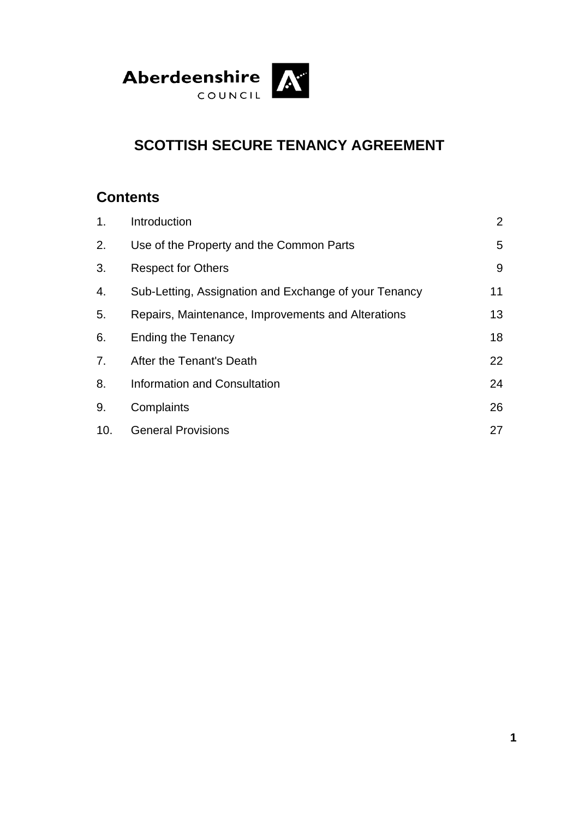

# **SCOTTISH SECURE TENANCY AGREEMENT**

# **Contents**

| 1.  | Introduction                                          | 2  |
|-----|-------------------------------------------------------|----|
| 2.  | Use of the Property and the Common Parts              | 5  |
| 3.  | <b>Respect for Others</b>                             | 9  |
| 4.  | Sub-Letting, Assignation and Exchange of your Tenancy | 11 |
| 5.  | Repairs, Maintenance, Improvements and Alterations    | 13 |
| 6.  | <b>Ending the Tenancy</b>                             | 18 |
| 7.  | After the Tenant's Death                              | 22 |
| 8.  | Information and Consultation                          | 24 |
| 9.  | Complaints                                            | 26 |
| 10. | <b>General Provisions</b>                             | 27 |
|     |                                                       |    |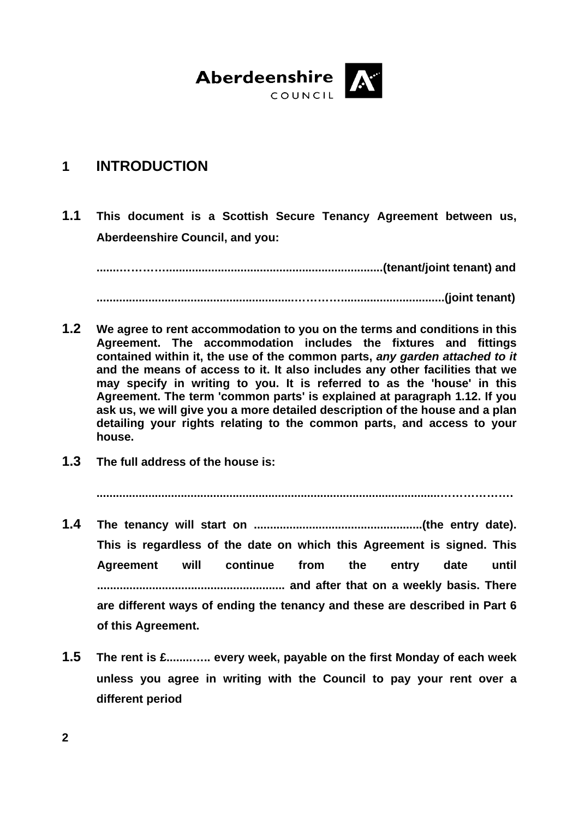

# **1 INTRODUCTION**

**1.1 This document is a Scottish Secure Tenancy Agreement between us, Aberdeenshire Council, and you:** 

 **.......…………...................................................................(tenant/joint tenant) and** 

 **.............................................................…………................................(joint tenant)** 

- **1.2 We agree to rent accommodation to you on the terms and conditions in this Agreement. The accommodation includes the fixtures and fittings contained within it, the use of the common parts,** *any garden attached to it* **and the means of access to it. It also includes any other facilities that we may specify in writing to you. It is referred to as the 'house' in this Agreement. The term 'common parts' is explained at paragraph 1.12. If you ask us, we will give you a more detailed description of the house and a plan detailing your rights relating to the common parts, and access to your house.**
- **1.3 The full address of the house is:**

 **..........................................................................................................……………….** 

- **1.4 The tenancy will start on ....................................................(the entry date). This is regardless of the date on which this Agreement is signed. This Agreement will continue from the entry date until .......................................................... and after that on a weekly basis. There are different ways of ending the tenancy and these are described in Part 6 of this Agreement.**
- **1.5 The rent is £........….. every week, payable on the first Monday of each week unless you agree in writing with the Council to pay your rent over a different period**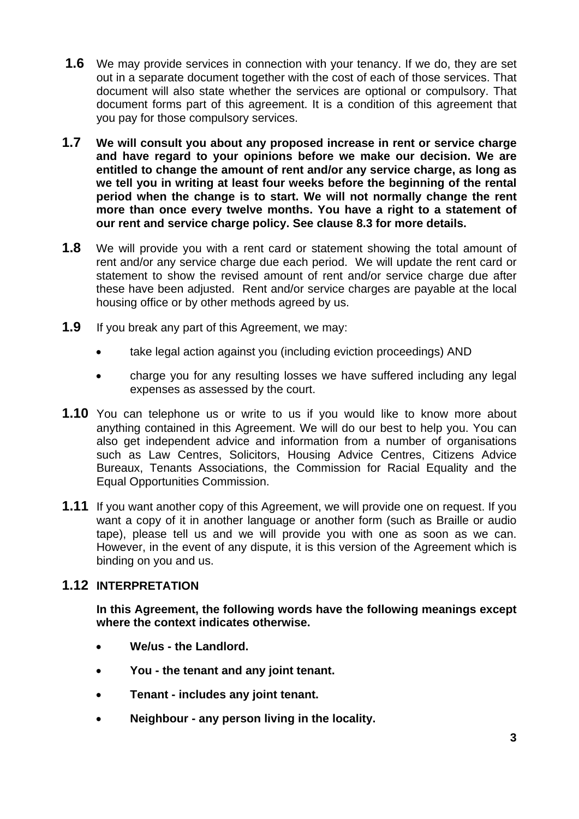- **1.6** We may provide services in connection with your tenancy. If we do, they are set out in a separate document together with the cost of each of those services. That document will also state whether the services are optional or compulsory. That document forms part of this agreement. It is a condition of this agreement that you pay for those compulsory services.
- **1.7 We will consult you about any proposed increase in rent or service charge and have regard to your opinions before we make our decision. We are entitled to change the amount of rent and/or any service charge, as long as we tell you in writing at least four weeks before the beginning of the rental period when the change is to start. We will not normally change the rent more than once every twelve months. You have a right to a statement of our rent and service charge policy. See clause 8.3 for more details.**
- **1.8** We will provide you with a rent card or statement showing the total amount of rent and/or any service charge due each period. We will update the rent card or statement to show the revised amount of rent and/or service charge due after these have been adjusted. Rent and/or service charges are payable at the local housing office or by other methods agreed by us.
- **1.9** If you break any part of this Agreement, we may:
	- take legal action against you (including eviction proceedings) AND
	- charge you for any resulting losses we have suffered including any legal expenses as assessed by the court.
- **1.10** You can telephone us or write to us if you would like to know more about anything contained in this Agreement. We will do our best to help you. You can also get independent advice and information from a number of organisations such as Law Centres, Solicitors, Housing Advice Centres, Citizens Advice Bureaux, Tenants Associations, the Commission for Racial Equality and the Equal Opportunities Commission.
- **1.11** If you want another copy of this Agreement, we will provide one on request. If you want a copy of it in another language or another form (such as Braille or audio tape), please tell us and we will provide you with one as soon as we can. However, in the event of any dispute, it is this version of the Agreement which is binding on you and us.

### **1.12 INTERPRETATION**

 **In this Agreement, the following words have the following meanings except where the context indicates otherwise.** 

- **We/us the Landlord.**
- **You the tenant and any joint tenant.**
- **Tenant includes any joint tenant.**
- **Neighbour any person living in the locality.**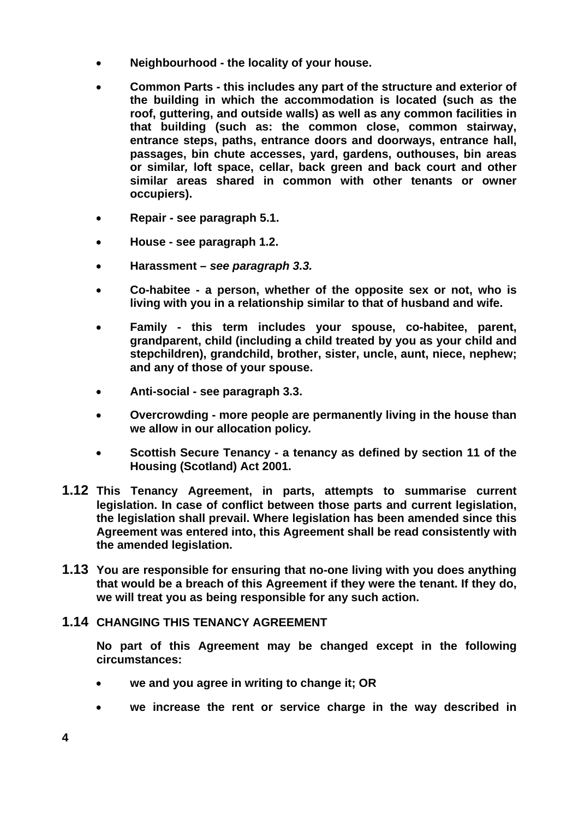- **Neighbourhood the locality of your house.**
- **Common Parts this includes any part of the structure and exterior of the building in which the accommodation is located (such as the roof, guttering, and outside walls) as well as any common facilities in that building (such as: the common close, common stairway, entrance steps, paths, entrance doors and doorways, entrance hall, passages, bin chute accesses, yard, gardens, outhouses, bin areas or similar***,* **loft space, cellar, back green and back court and other similar areas shared in common with other tenants or owner occupiers).**
- **Repair see paragraph 5.1.**
- **House see paragraph 1.2.**
- **Harassment** *see paragraph 3.3.*
- **Co-habitee a person, whether of the opposite sex or not, who is living with you in a relationship similar to that of husband and wife.**
- **Family this term includes your spouse, co-habitee, parent, grandparent, child (including a child treated by you as your child and stepchildren), grandchild, brother, sister, uncle, aunt, niece, nephew; and any of those of your spouse.**
- **Anti-social see paragraph 3.3.**
- **Overcrowding more people are permanently living in the house than we allow in our allocation policy***.*
- **Scottish Secure Tenancy a tenancy as defined by section 11 of the Housing (Scotland) Act 2001.**
- **1.12 This Tenancy Agreement, in parts, attempts to summarise current legislation. In case of conflict between those parts and current legislation, the legislation shall prevail. Where legislation has been amended since this Agreement was entered into, this Agreement shall be read consistently with the amended legislation.**
- **1.13 You are responsible for ensuring that no-one living with you does anything that would be a breach of this Agreement if they were the tenant. If they do, we will treat you as being responsible for any such action.**

### **1.14 CHANGING THIS TENANCY AGREEMENT**

 **No part of this Agreement may be changed except in the following circumstances:** 

- **we and you agree in writing to change it; OR**
- **we increase the rent or service charge in the way described in**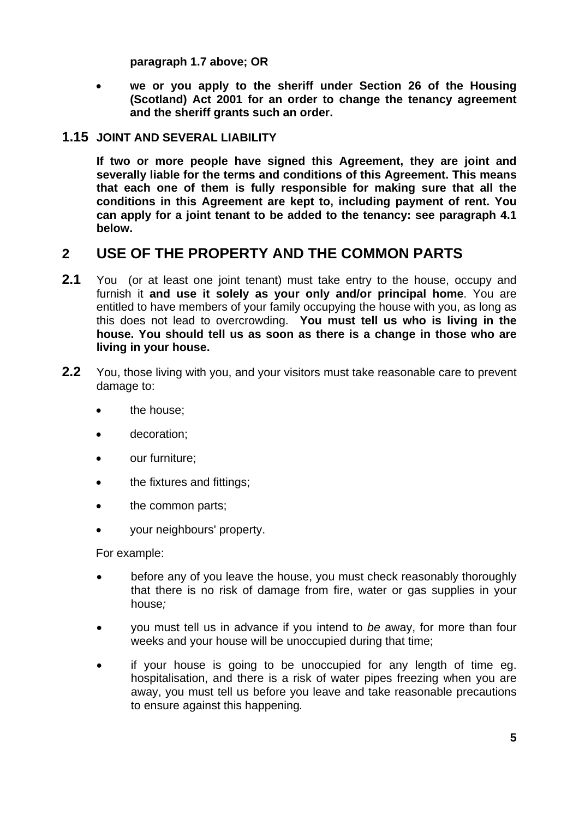**paragraph 1.7 above; OR**

• **we or you apply to the sheriff under Section 26 of the Housing (Scotland) Act 2001 for an order to change the tenancy agreement and the sheriff grants such an order.**

### **1.15 JOINT AND SEVERAL LIABILITY**

 **If two or more people have signed this Agreement, they are joint and severally liable for the terms and conditions of this Agreement. This means that each one of them is fully responsible for making sure that all the conditions in this Agreement are kept to, including payment of rent. You can apply for a joint tenant to be added to the tenancy: see paragraph 4.1 below.** 

## **2 USE OF THE PROPERTY AND THE COMMON PARTS**

- **2.1** You (or at least one joint tenant) must take entry to the house, occupy and furnish it **and use it solely as your only and/or principal home**. You are entitled to have members of your family occupying the house with you, as long as this does not lead to overcrowding. **You must tell us who is living in the house. You should tell us as soon as there is a change in those who are living in your house.**
- **2.2** You, those living with you, and your visitors must take reasonable care to prevent damage to:
	- the house:
	- decoration;
	- our furniture;
	- the fixtures and fittings;
	- the common parts;
	- your neighbours' property.

For example:

- before any of you leave the house, you must check reasonably thoroughly that there is no risk of damage from fire, water or gas supplies in your house*;*
- you must tell us in advance if you intend to *be* away, for more than four weeks and your house will be unoccupied during that time;
- if your house is going to be unoccupied for any length of time eg. hospitalisation, and there is a risk of water pipes freezing when you are away, you must tell us before you leave and take reasonable precautions to ensure against this happening*.*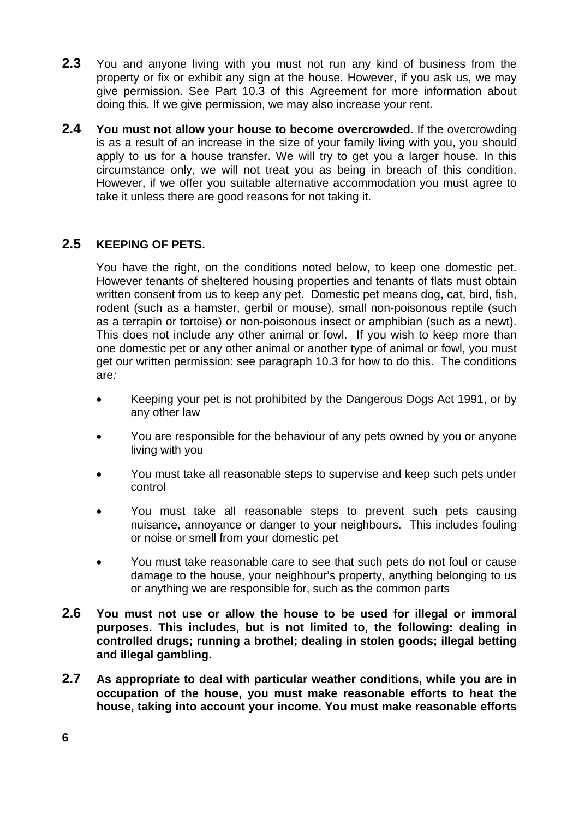- **2.3** You and anyone living with you must not run any kind of business from the property or fix or exhibit any sign at the house*.* However, if you ask us, we may give permission. See Part 10.3 of this Agreement for more information about doing this. If we give permission, we may also increase your rent.
- **2.4 You must not allow your house to become overcrowded**. If the overcrowding is as a result of an increase in the size of your family living with you, you should apply to us for a house transfer. We will try to get you a larger house. In this circumstance only, we will not treat you as being in breach of this condition. However, if we offer you suitable alternative accommodation you must agree to take it unless there are good reasons for not taking it.

### **2.5 KEEPING OF PETS.**

You have the right, on the conditions noted below, to keep one domestic pet. However tenants of sheltered housing properties and tenants of flats must obtain written consent from us to keep any pet. Domestic pet means dog, cat, bird, fish, rodent (such as a hamster, gerbil or mouse), small non-poisonous reptile (such as a terrapin or tortoise) or non-poisonous insect or amphibian (such as a newt). This does not include any other animal or fowl. If you wish to keep more than one domestic pet or any other animal or another type of animal or fowl, you must get our written permission: see paragraph 10.3 for how to do this. The conditions are*:* 

- Keeping your pet is not prohibited by the Dangerous Dogs Act 1991, or by any other law
- You are responsible for the behaviour of any pets owned by you or anyone living with you
- You must take all reasonable steps to supervise and keep such pets under control
- You must take all reasonable steps to prevent such pets causing nuisance, annoyance or danger to your neighbours. This includes fouling or noise or smell from your domestic pet
- You must take reasonable care to see that such pets do not foul or cause damage to the house, your neighbour's property, anything belonging to us or anything we are responsible for, such as the common parts
- **2.6 You must not use or allow the house to be used for illegal or immoral purposes. This includes, but is not limited to, the following: dealing in controlled drugs; running a brothel; dealing in stolen goods; illegal betting and illegal gambling.**
- **2.7 As appropriate to deal with particular weather conditions, while you are in occupation of the house, you must make reasonable efforts to heat the house, taking into account your income. You must make reasonable efforts**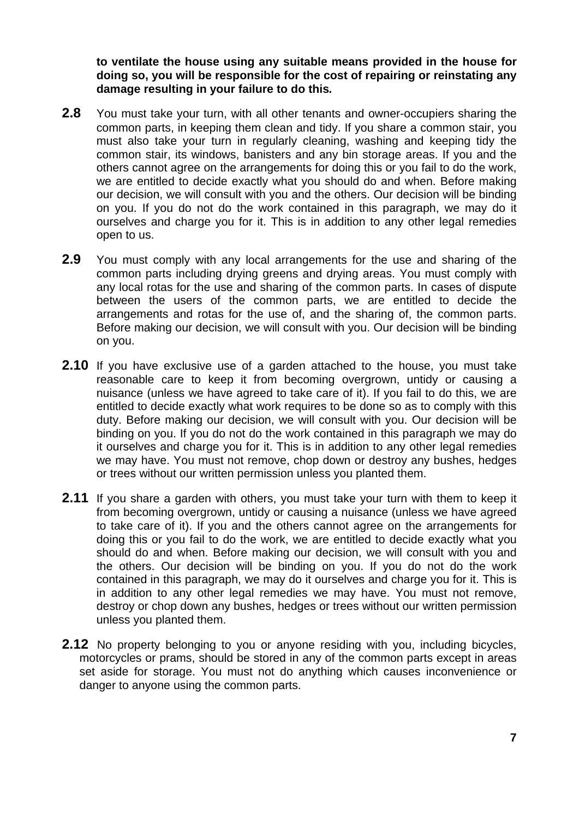**to ventilate the house using any suitable means provided in the house for doing so, you will be responsible for the cost of repairing or reinstating any damage resulting in your failure to do this***.*

- **2.8** You must take your turn, with all other tenants and owner-occupiers sharing the common parts, in keeping them clean and tidy. If you share a common stair, you must also take your turn in regularly cleaning, washing and keeping tidy the common stair, its windows, banisters and any bin storage areas. If you and the others cannot agree on the arrangements for doing this or you fail to do the work, we are entitled to decide exactly what you should do and when. Before making our decision, we will consult with you and the others. Our decision will be binding on you. If you do not do the work contained in this paragraph, we may do it ourselves and charge you for it. This is in addition to any other legal remedies open to us.
- **2.9** You must comply with any local arrangements for the use and sharing of the common parts including drying greens and drying areas. You must comply with any local rotas for the use and sharing of the common parts. In cases of dispute between the users of the common parts, we are entitled to decide the arrangements and rotas for the use of, and the sharing of, the common parts. Before making our decision, we will consult with you. Our decision will be binding on you.
- **2.10** If you have exclusive use of a garden attached to the house, you must take reasonable care to keep it from becoming overgrown, untidy or causing a nuisance (unless we have agreed to take care of it). If you fail to do this, we are entitled to decide exactly what work requires to be done so as to comply with this duty. Before making our decision, we will consult with you. Our decision will be binding on you. If you do not do the work contained in this paragraph we may do it ourselves and charge you for it. This is in addition to any other legal remedies we may have. You must not remove, chop down or destroy any bushes, hedges or trees without our written permission unless you planted them.
- **2.11** If you share a garden with others, you must take your turn with them to keep it from becoming overgrown, untidy or causing a nuisance (unless we have agreed to take care of it). If you and the others cannot agree on the arrangements for doing this or you fail to do the work, we are entitled to decide exactly what you should do and when. Before making our decision, we will consult with you and the others. Our decision will be binding on you. If you do not do the work contained in this paragraph, we may do it ourselves and charge you for it. This is in addition to any other legal remedies we may have. You must not remove, destroy or chop down any bushes, hedges or trees without our written permission unless you planted them.
- **2.12** No property belonging to you or anyone residing with you, including bicycles, motorcycles or prams, should be stored in any of the common parts except in areas set aside for storage. You must not do anything which causes inconvenience or danger to anyone using the common parts.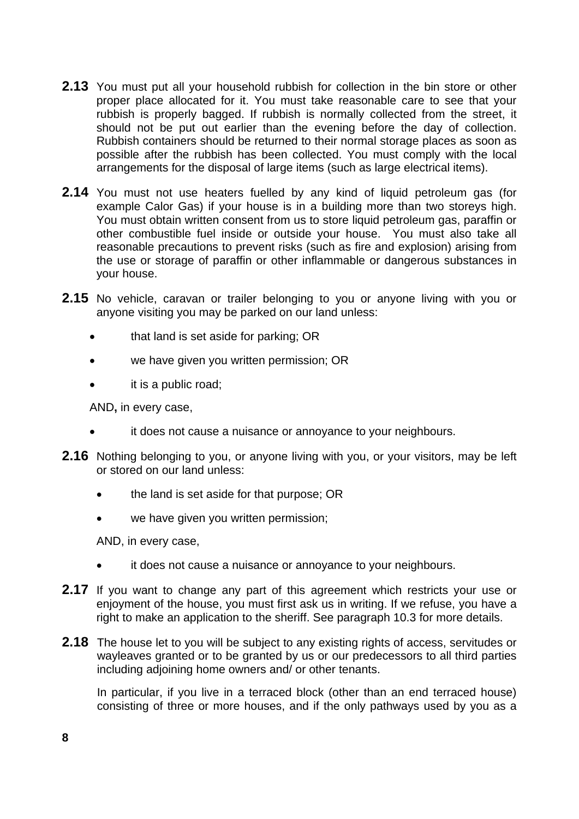- **2.13** You must put all your household rubbish for collection in the bin store or other proper place allocated for it. You must take reasonable care to see that your rubbish is properly bagged. If rubbish is normally collected from the street, it should not be put out earlier than the evening before the day of collection. Rubbish containers should be returned to their normal storage places as soon as possible after the rubbish has been collected. You must comply with the local arrangements for the disposal of large items (such as large electrical items).
- **2.14** You must not use heaters fuelled by any kind of liquid petroleum gas (for example Calor Gas) if your house is in a building more than two storeys high. You must obtain written consent from us to store liquid petroleum gas, paraffin or other combustible fuel inside or outside your house. You must also take all reasonable precautions to prevent risks (such as fire and explosion) arising from the use or storage of paraffin or other inflammable or dangerous substances in your house.
- **2.15** No vehicle, caravan or trailer belonging to you or anyone living with you or anyone visiting you may be parked on our land unless:
	- that land is set aside for parking; OR
	- we have given you written permission; OR
	- it is a public road;

AND**,** in every case,

- it does not cause a nuisance or annoyance to your neighbours.
- **2.16** Nothing belonging to you, or anyone living with you, or your visitors, may be left or stored on our land unless:
	- the land is set aside for that purpose; OR
	- we have given you written permission;

AND, in every case,

- it does not cause a nuisance or annoyance to your neighbours.
- **2.17** If you want to change any part of this agreement which restricts your use or enjoyment of the house, you must first ask us in writing. If we refuse, you have a right to make an application to the sheriff. See paragraph 10.3 for more details.
- **2.18** The house let to you will be subject to any existing rights of access, servitudes or wayleaves granted or to be granted by us or our predecessors to all third parties including adjoining home owners and/ or other tenants.

In particular, if you live in a terraced block (other than an end terraced house) consisting of three or more houses, and if the only pathways used by you as a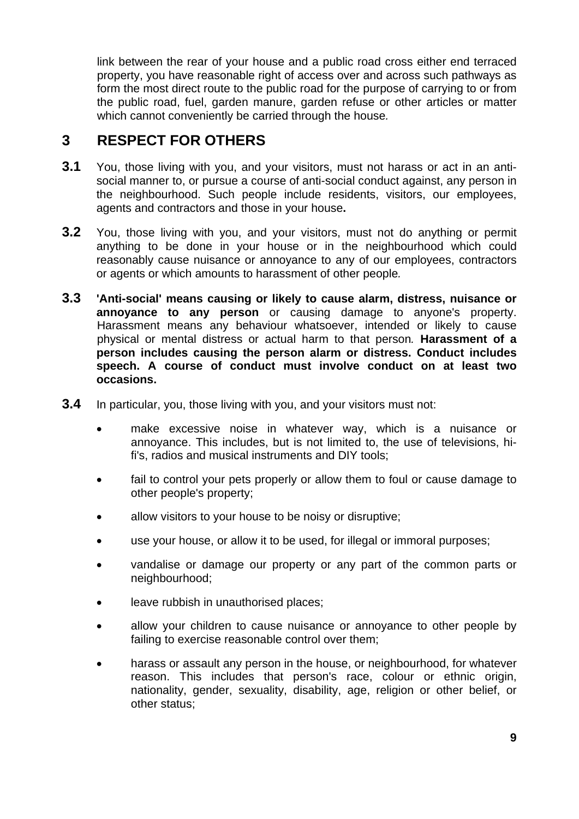link between the rear of your house and a public road cross either end terraced property, you have reasonable right of access over and across such pathways as form the most direct route to the public road for the purpose of carrying to or from the public road, fuel, garden manure, garden refuse or other articles or matter which cannot conveniently be carried through the house*.* 

## **3 RESPECT FOR OTHERS**

- **3.1** You, those living with you, and your visitors, must not harass or act in an antisocial manner to, or pursue a course of anti-social conduct against, any person in the neighbourhood. Such people include residents, visitors, our employees, agents and contractors and those in your house**.**
- **3.2** You, those living with you, and your visitors, must not do anything or permit anything to be done in your house or in the neighbourhood which could reasonably cause nuisance or annoyance to any of our employees, contractors or agents or which amounts to harassment of other people*.*
- **3.3 'Anti-social' means causing or likely to cause alarm, distress, nuisance or annoyance to any person** or causing damage to anyone's property. Harassment means any behaviour whatsoever, intended or likely to cause physical or mental distress or actual harm to that person*.* **Harassment of a person includes causing the person alarm or distress. Conduct includes speech. A course of conduct must involve conduct on at least two occasions.**
- **3.4** In particular, you, those living with you, and your visitors must not:
	- make excessive noise in whatever way, which is a nuisance or annoyance. This includes, but is not limited to, the use of televisions, hifi's, radios and musical instruments and DIY tools;
	- fail to control your pets properly or allow them to foul or cause damage to other people's property;
	- allow visitors to your house to be noisy or disruptive;
	- use your house, or allow it to be used, for illegal or immoral purposes;
	- vandalise or damage our property or any part of the common parts or neighbourhood;
	- leave rubbish in unauthorised places;
	- allow your children to cause nuisance or annoyance to other people by failing to exercise reasonable control over them;
	- harass or assault any person in the house, or neighbourhood, for whatever reason. This includes that person's race, colour or ethnic origin, nationality, gender, sexuality, disability, age, religion or other belief, or other status;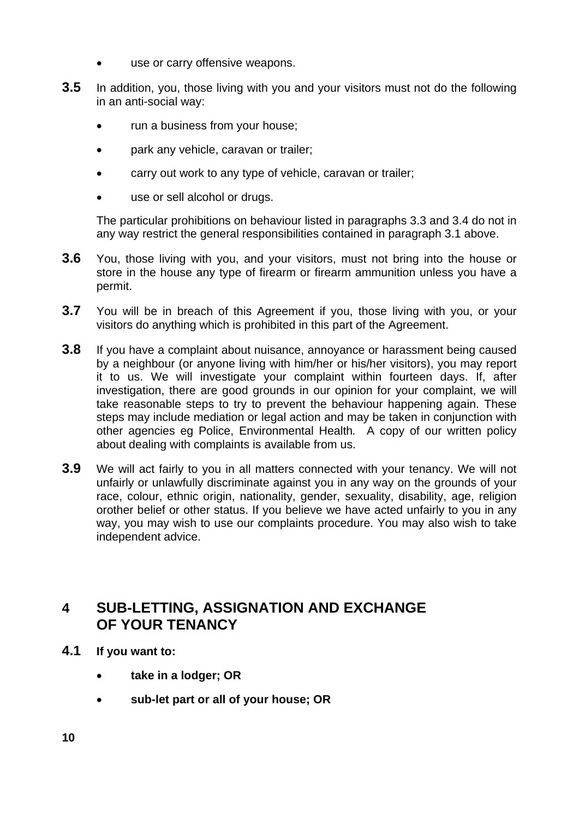- use or carry offensive weapons.
- **3.5** In addition, you, those living with you and your visitors must not do the following in an anti-social way:
	- run a business from your house;
	- park any vehicle, caravan or trailer;
	- carry out work to any type of vehicle, caravan or trailer;
	- use or sell alcohol or drugs.

 The particular prohibitions on behaviour listed in paragraphs 3.3 and 3.4 do not in any way restrict the general responsibilities contained in paragraph 3.1 above.

- **3.6** You, those living with you, and your visitors, must not bring into the house or store in the house any type of firearm or firearm ammunition unless you have a permit.
- **3.7** You will be in breach of this Agreement if you, those living with you, or your visitors do anything which is prohibited in this part of the Agreement.
- **3.8** If you have a complaint about nuisance, annoyance or harassment being caused by a neighbour (or anyone living with him/her or his/her visitors), you may report it to us. We will investigate your complaint within fourteen days. If, after investigation, there are good grounds in our opinion for your complaint, we will take reasonable steps to try to prevent the behaviour happening again. These steps may include mediation or legal action and may be taken in conjunction with other agencies eg Police, Environmental Health*.* A copy of our written policy about dealing with complaints is available from us.
- **3.9** We will act fairly to you in all matters connected with your tenancy. We will not unfairly or unlawfully discriminate against you in any way on the grounds of your race, colour, ethnic origin, nationality, gender, sexuality, disability, age, religion orother belief or other status. If you believe we have acted unfairly to you in any way, you may wish to use our complaints procedure. You may also wish to take independent advice.

# **4 SUB-LETTING, ASSIGNATION AND EXCHANGE OF YOUR TENANCY**

- **4.1 If you want to:** 
	- **take in a lodger; OR**
	- **sub-let part or all of your house; OR**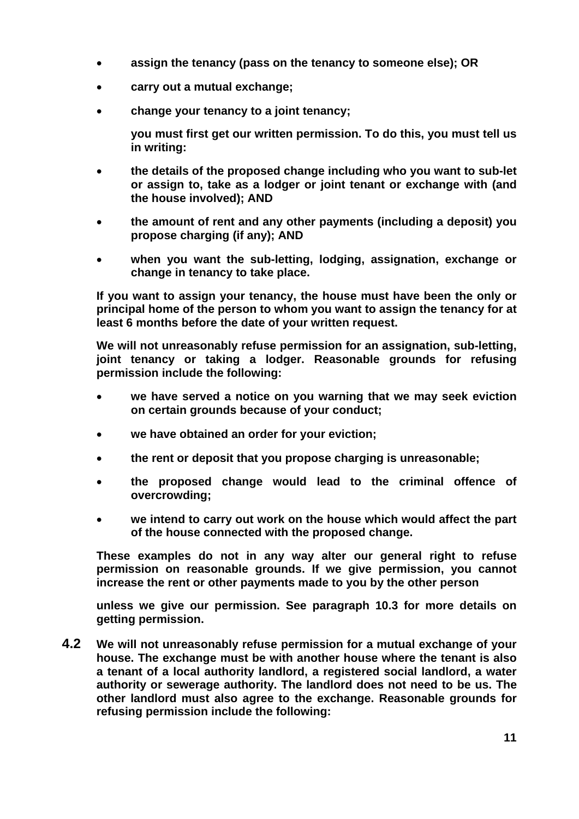- **assign the tenancy (pass on the tenancy to someone else); OR**
- **carry out a mutual exchange;**
- **change your tenancy to a joint tenancy;**

**you must first get our written permission. To do this, you must tell us in writing:** 

- **the details of the proposed change including who you want to sub-let or assign to, take as a lodger or joint tenant or exchange with (and the house involved); AND**
- **the amount of rent and any other payments (including a deposit) you propose charging (if any); AND**
- **when you want the sub-letting, lodging, assignation, exchange or change in tenancy to take place.**

 **If you want to assign your tenancy, the house must have been the only or principal home of the person to whom you want to assign the tenancy for at least 6 months before the date of your written request.** 

 **We will not unreasonably refuse permission for an assignation, sub-letting, joint tenancy or taking a lodger. Reasonable grounds for refusing permission include the following:** 

- **we have served a notice on you warning that we may seek eviction on certain grounds because of your conduct;**
- **we have obtained an order for your eviction;**
- **the rent or deposit that you propose charging is unreasonable;**
- **the proposed change would lead to the criminal offence of overcrowding;**
- **we intend to carry out work on the house which would affect the part of the house connected with the proposed change.**

 **These examples do not in any way alter our general right to refuse permission on reasonable grounds. If we give permission, you cannot increase the rent or other payments made to you by the other person** 

 **unless we give our permission. See paragraph 10.3 for more details on getting permission.** 

**4.2 We will not unreasonably refuse permission for a mutual exchange of your house. The exchange must be with another house where the tenant is also a tenant of a local authority landlord, a registered social landlord, a water authority or sewerage authority. The landlord does not need to be us. The other landlord must also agree to the exchange. Reasonable grounds for refusing permission include the following:**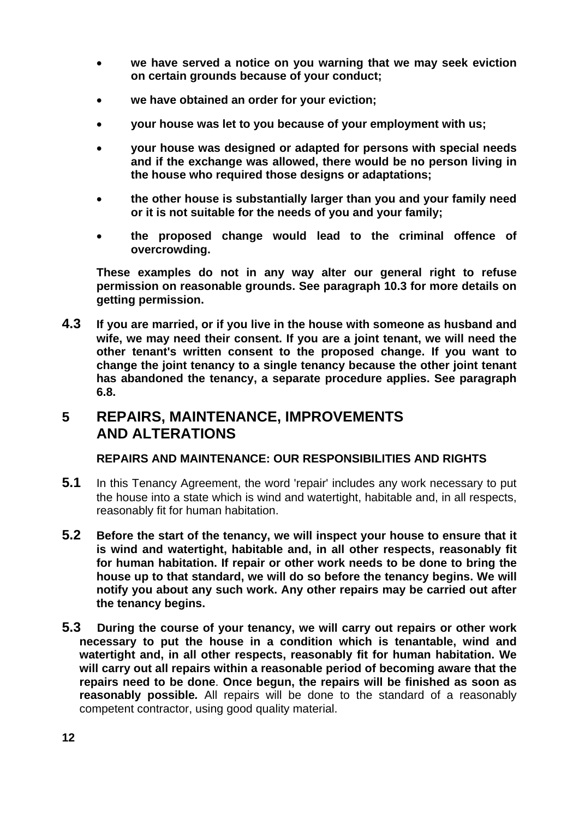- **we have served a notice on you warning that we may seek eviction on certain grounds because of your conduct;**
- **we have obtained an order for your eviction;**
- **your house was let to you because of your employment with us;**
- **your house was designed or adapted for persons with special needs and if the exchange was allowed, there would be no person living in the house who required those designs or adaptations;**
- **the other house is substantially larger than you and your family need or it is not suitable for the needs of you and your family;**
- **the proposed change would lead to the criminal offence of overcrowding.**

 **These examples do not in any way alter our general right to refuse permission on reasonable grounds. See paragraph 10.3 for more details on getting permission.** 

**4.3 If you are married, or if you live in the house with someone as husband and wife, we may need their consent. If you are a joint tenant, we will need the other tenant's written consent to the proposed change. If you want to change the joint tenancy to a single tenancy because the other joint tenant has abandoned the tenancy, a separate procedure applies. See paragraph 6.8.**

## **5 REPAIRS, MAINTENANCE, IMPROVEMENTS AND ALTERATIONS**

### **REPAIRS AND MAINTENANCE: OUR RESPONSIBILITIES AND RIGHTS**

- **5.1** In this Tenancy Agreement, the word 'repair' includes any work necessary to put the house into a state which is wind and watertight, habitable and, in all respects, reasonably fit for human habitation.
- **5.2 Before the start of the tenancy, we will inspect your house to ensure that it is wind and watertight, habitable and, in all other respects, reasonably fit for human habitation. If repair or other work needs to be done to bring the house up to that standard, we will do so before the tenancy begins. We will notify you about any such work. Any other repairs may be carried out after the tenancy begins.**
- **5.3 During the course of your tenancy, we will carry out repairs or other work necessary to put the house in a condition which is tenantable, wind and watertight and, in all other respects, reasonably fit for human habitation. We will carry out all repairs within a reasonable period of becoming aware that the repairs need to be done**. **Once begun, the repairs will be finished as soon as reasonably possible***.* All repairs will be done to the standard of a reasonably competent contractor, using good quality material.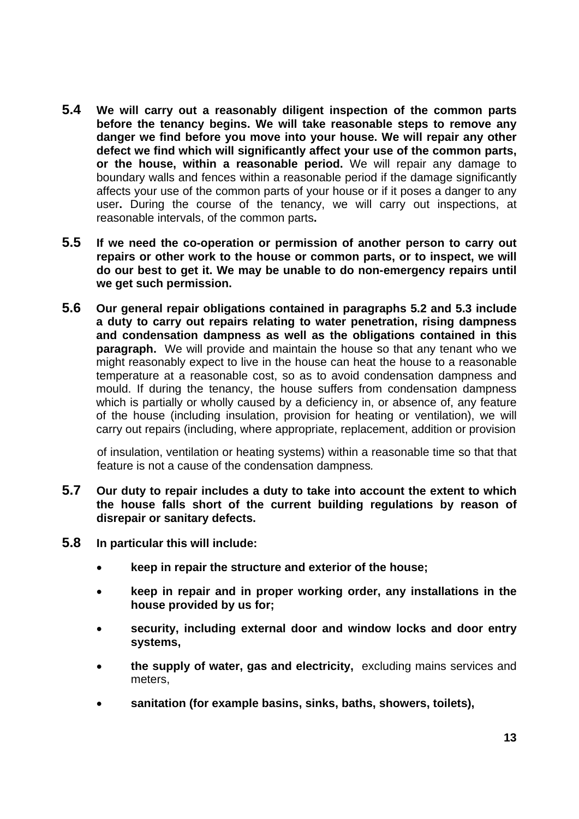- **5.4 We will carry out a reasonably diligent inspection of the common parts before the tenancy begins. We will take reasonable steps to remove any danger we find before you move into your house. We will repair any other defect we find which will significantly affect your use of the common parts, or the house, within a reasonable period.** We will repair any damage to boundary walls and fences within a reasonable period if the damage significantly affects your use of the common parts of your house or if it poses a danger to any user**.** During the course of the tenancy, we will carry out inspections, at reasonable intervals, of the common parts**.**
- **5.5 If we need the co-operation or permission of another person to carry out repairs or other work to the house or common parts, or to inspect, we will do our best to get it. We may be unable to do non-emergency repairs until we get such permission.**
- **5.6 Our general repair obligations contained in paragraphs 5.2 and 5.3 include a duty to carry out repairs relating to water penetration, rising dampness and condensation dampness as well as the obligations contained in this paragraph.** We will provide and maintain the house so that any tenant who we might reasonably expect to live in the house can heat the house to a reasonable temperature at a reasonable cost, so as to avoid condensation dampness and mould. If during the tenancy, the house suffers from condensation dampness which is partially or wholly caused by a deficiency in, or absence of, any feature of the house (including insulation, provision for heating or ventilation), we will carry out repairs (including, where appropriate, replacement, addition or provision

of insulation, ventilation or heating systems) within a reasonable time so that that feature is not a cause of the condensation dampness*.*

- **5.7 Our duty to repair includes a duty to take into account the extent to which the house falls short of the current building regulations by reason of disrepair or sanitary defects.**
- **5.8 In particular this will include:** 
	- **keep in repair the structure and exterior of the house;**
	- **keep in repair and in proper working order, any installations in the house provided by us for;**
	- **security, including external door and window locks and door entry systems,**
	- **the supply of water, gas and electricity,** excluding mains services and meters,
	- **sanitation (for example basins, sinks, baths, showers, toilets),**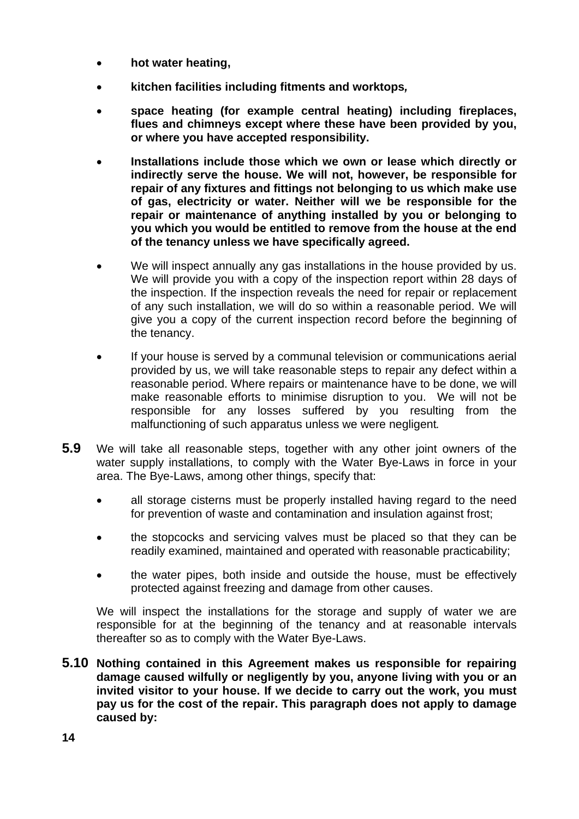- **hot water heating,**
- **kitchen facilities including fitments and worktops***,*
- **space heating (for example central heating) including fireplaces, flues and chimneys except where these have been provided by you, or where you have accepted responsibility.**
- **Installations include those which we own or lease which directly or indirectly serve the house. We will not, however, be responsible for repair of any fixtures and fittings not belonging to us which make use of gas, electricity or water. Neither will we be responsible for the repair or maintenance of anything installed by you or belonging to you which you would be entitled to remove from the house at the end of the tenancy unless we have specifically agreed.**
- We will inspect annually any gas installations in the house provided by us. We will provide you with a copy of the inspection report within 28 days of the inspection. If the inspection reveals the need for repair or replacement of any such installation, we will do so within a reasonable period. We will give you a copy of the current inspection record before the beginning of the tenancy.
- If your house is served by a communal television or communications aerial provided by us, we will take reasonable steps to repair any defect within a reasonable period. Where repairs or maintenance have to be done, we will make reasonable efforts to minimise disruption to you. We will not be responsible for any losses suffered by you resulting from the malfunctioning of such apparatus unless we were negligent*.*
- **5.9** We will take all reasonable steps, together with any other joint owners of the water supply installations, to comply with the Water Bye-Laws in force in your area. The Bye-Laws, among other things, specify that:
	- all storage cisterns must be properly installed having regard to the need for prevention of waste and contamination and insulation against frost;
	- the stopcocks and servicing valves must be placed so that they can be readily examined, maintained and operated with reasonable practicability;
	- the water pipes, both inside and outside the house, must be effectively protected against freezing and damage from other causes.

 We will inspect the installations for the storage and supply of water we are responsible for at the beginning of the tenancy and at reasonable intervals thereafter so as to comply with the Water Bye-Laws.

**5.10 Nothing contained in this Agreement makes us responsible for repairing damage caused wilfully or negligently by you, anyone living with you or an invited visitor to your house. If we decide to carry out the work, you must pay us for the cost of the repair. This paragraph does not apply to damage caused by:**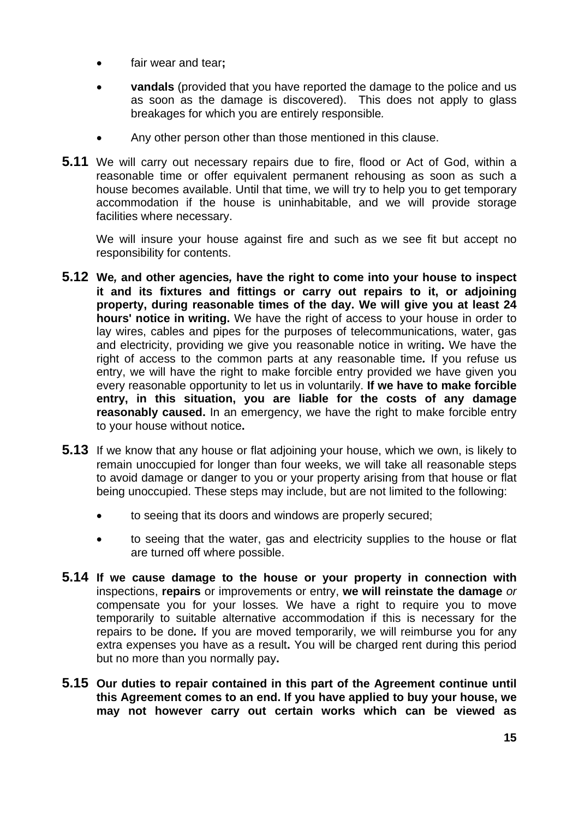- fair wear and tear**;**
- **vandals** (provided that you have reported the damage to the police and us as soon as the damage is discovered). This does not apply to glass breakages for which you are entirely responsible*.*
- Any other person other than those mentioned in this clause.
- **5.11** We will carry out necessary repairs due to fire, flood or Act of God, within a reasonable time or offer equivalent permanent rehousing as soon as such a house becomes available. Until that time, we will try to help you to get temporary accommodation if the house is uninhabitable, and we will provide storage facilities where necessary.

We will insure your house against fire and such as we see fit but accept no responsibility for contents.

- **5.12 We***,* **and other agencies***,* **have the right to come into your house to inspect it and its fixtures and fittings or carry out repairs to it, or adjoining property, during reasonable times of the day. We will give you at least 24 hours' notice in writing.** We have the right of access to your house in order to lay wires, cables and pipes for the purposes of telecommunications, water, gas and electricity, providing we give you reasonable notice in writing**.** We have the right of access to the common parts at any reasonable time*.* If you refuse us entry, we will have the right to make forcible entry provided we have given you every reasonable opportunity to let us in voluntarily. **If we have to make forcible entry, in this situation, you are liable for the costs of any damage reasonably caused.** In an emergency, we have the right to make forcible entry to your house without notice**.**
- **5.13** If we know that any house or flat adjoining your house, which we own, is likely to remain unoccupied for longer than four weeks, we will take all reasonable steps to avoid damage or danger to you or your property arising from that house or flat being unoccupied. These steps may include, but are not limited to the following:
	- to seeing that its doors and windows are properly secured;
	- to seeing that the water, gas and electricity supplies to the house or flat are turned off where possible.
- **5.14 If we cause damage to the house or your property in connection with** inspections, **repairs** or improvements or entry, **we will reinstate the damage** *or*  compensate you for your losses*.* We have a right to require you to move temporarily to suitable alternative accommodation if this is necessary for the repairs to be done*.* If you are moved temporarily, we will reimburse you for any extra expenses you have as a result**.** You will be charged rent during this period but no more than you normally pay**.**
- **5.15 Our duties to repair contained in this part of the Agreement continue until this Agreement comes to an end. If you have applied to buy your house, we may not however carry out certain works which can be viewed as**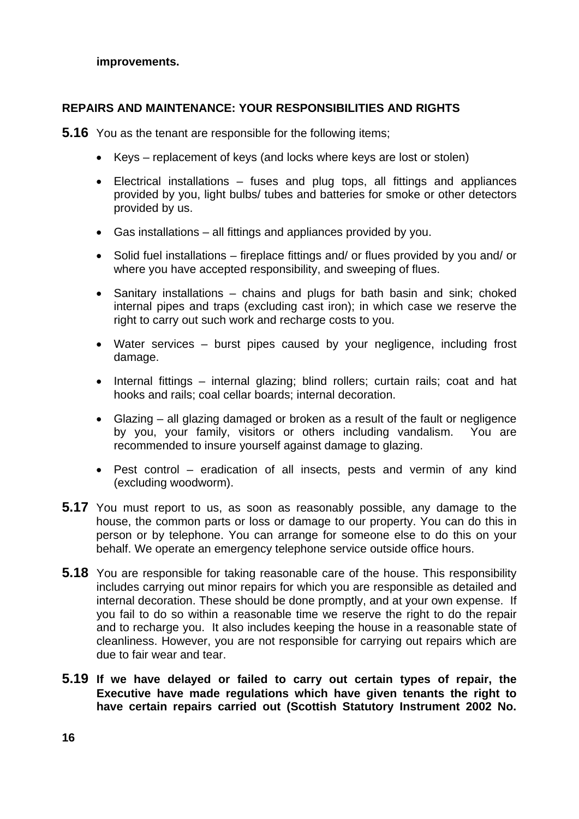#### **improvements.**

### **REPAIRS AND MAINTENANCE: YOUR RESPONSIBILITIES AND RIGHTS**

**5.16** You as the tenant are responsible for the following items;

- Keys replacement of keys (and locks where keys are lost or stolen)
- Electrical installations fuses and plug tops, all fittings and appliances provided by you, light bulbs/ tubes and batteries for smoke or other detectors provided by us.
- Gas installations all fittings and appliances provided by you.
- Solid fuel installations fireplace fittings and/ or flues provided by you and/ or where you have accepted responsibility, and sweeping of flues.
- Sanitary installations chains and plugs for bath basin and sink; choked internal pipes and traps (excluding cast iron); in which case we reserve the right to carry out such work and recharge costs to you.
- Water services burst pipes caused by your negligence, including frost damage.
- Internal fittings internal glazing; blind rollers; curtain rails; coat and hat hooks and rails; coal cellar boards; internal decoration.
- Glazing all glazing damaged or broken as a result of the fault or negligence by you, your family, visitors or others including vandalism. You are recommended to insure yourself against damage to glazing.
- Pest control eradication of all insects, pests and vermin of any kind (excluding woodworm).
- **5.17** You must report to us, as soon as reasonably possible, any damage to the house, the common parts or loss or damage to our property. You can do this in person or by telephone. You can arrange for someone else to do this on your behalf. We operate an emergency telephone service outside office hours.
- **5.18** You are responsible for taking reasonable care of the house. This responsibility includes carrying out minor repairs for which you are responsible as detailed and internal decoration. These should be done promptly, and at your own expense. If you fail to do so within a reasonable time we reserve the right to do the repair and to recharge you. It also includes keeping the house in a reasonable state of cleanliness. However, you are not responsible for carrying out repairs which are due to fair wear and tear.
- **5.19 If we have delayed or failed to carry out certain types of repair, the Executive have made regulations which have given tenants the right to have certain repairs carried out (Scottish Statutory Instrument 2002 No.**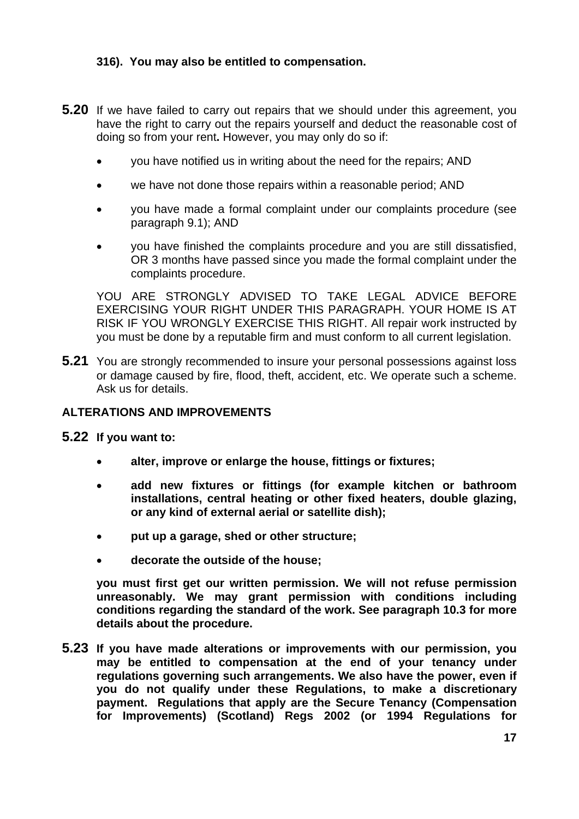### **316). You may also be entitled to compensation.**

- **5.20** If we have failed to carry out repairs that we should under this agreement, you have the right to carry out the repairs yourself and deduct the reasonable cost of doing so from your rent**.** However, you may only do so if:
	- you have notified us in writing about the need for the repairs; AND
	- we have not done those repairs within a reasonable period; AND
	- you have made a formal complaint under our complaints procedure (see paragraph 9.1); AND
	- you have finished the complaints procedure and you are still dissatisfied, OR 3 months have passed since you made the formal complaint under the complaints procedure.

 YOU ARE STRONGLY ADVISED TO TAKE LEGAL ADVICE BEFORE EXERCISING YOUR RIGHT UNDER THIS PARAGRAPH. YOUR HOME IS AT RISK IF YOU WRONGLY EXERCISE THIS RIGHT. All repair work instructed by you must be done by a reputable firm and must conform to all current legislation.

**5.21** You are strongly recommended to insure your personal possessions against loss or damage caused by fire, flood, theft, accident, etc. We operate such a scheme. Ask us for details.

### **ALTERATIONS AND IMPROVEMENTS**

### **5.22 If you want to:**

- **alter, improve or enlarge the house, fittings or fixtures;**
- **add new fixtures or fittings (for example kitchen or bathroom installations, central heating or other fixed heaters, double glazing, or any kind of external aerial or satellite dish);**
- **put up a garage, shed or other structure;**
- **decorate the outside of the house;**

 **you must first get our written permission. We will not refuse permission unreasonably. We may grant permission with conditions including conditions regarding the standard of the work. See paragraph 10.3 for more details about the procedure.** 

**5.23 If you have made alterations or improvements with our permission, you may be entitled to compensation at the end of your tenancy under regulations governing such arrangements. We also have the power, even if you do not qualify under these Regulations, to make a discretionary payment. Regulations that apply are the Secure Tenancy (Compensation for Improvements) (Scotland) Regs 2002 (or 1994 Regulations for**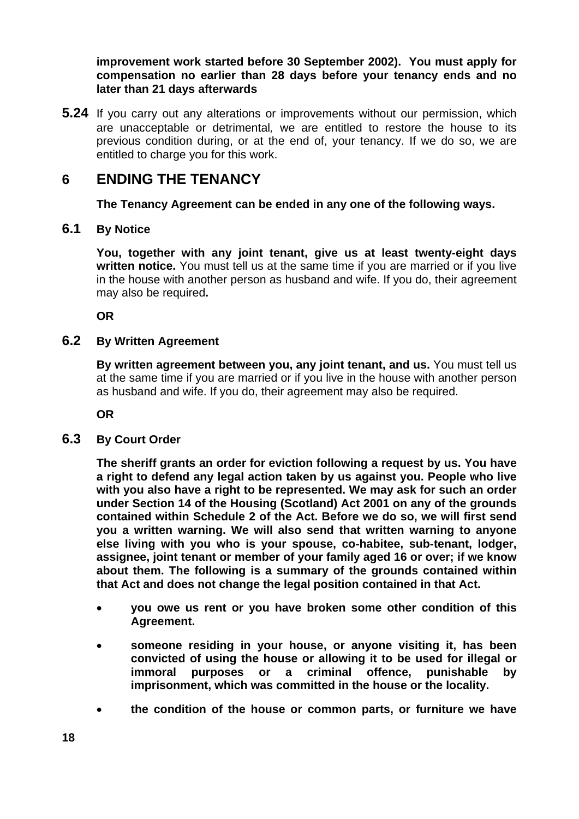**improvement work started before 30 September 2002). You must apply for compensation no earlier than 28 days before your tenancy ends and no later than 21 days afterwards**

**5.24** If you carry out any alterations or improvements without our permission, which are unacceptable or detrimental*,* we are entitled to restore the house to its previous condition during, or at the end of, your tenancy. If we do so, we are entitled to charge you for this work.

## **6 ENDING THE TENANCY**

**The Tenancy Agreement can be ended in any one of the following ways.** 

### **6.1 By Notice**

 **You, together with any joint tenant, give us at least twenty-eight days written notice.** You must tell us at the same time if you are married or if you live in the house with another person as husband and wife. If you do, their agreement may also be required**.**

 **OR** 

### **6.2 By Written Agreement**

 **By written agreement between you, any joint tenant, and us.** You must tell us at the same time if you are married or if you live in the house with another person as husband and wife. If you do, their agreement may also be required.

 **OR** 

### **6.3 By Court Order**

 **The sheriff grants an order for eviction following a request by us. You have a right to defend any legal action taken by us against you. People who live with you also have a right to be represented. We may ask for such an order under Section 14 of the Housing (Scotland) Act 2001 on any of the grounds contained within Schedule 2 of the Act. Before we do so, we will first send you a written warning. We will also send that written warning to anyone else living with you who is your spouse, co-habitee, sub-tenant, lodger, assignee, joint tenant or member of your family aged 16 or over; if we know about them. The following is a summary of the grounds contained within that Act and does not change the legal position contained in that Act.** 

- **you owe us rent or you have broken some other condition of this Agreement.**
- **someone residing in your house, or anyone visiting it, has been convicted of using the house or allowing it to be used for illegal or immoral purposes or a criminal offence, punishable by imprisonment, which was committed in the house or the locality.**
- **the condition of the house or common parts, or furniture we have**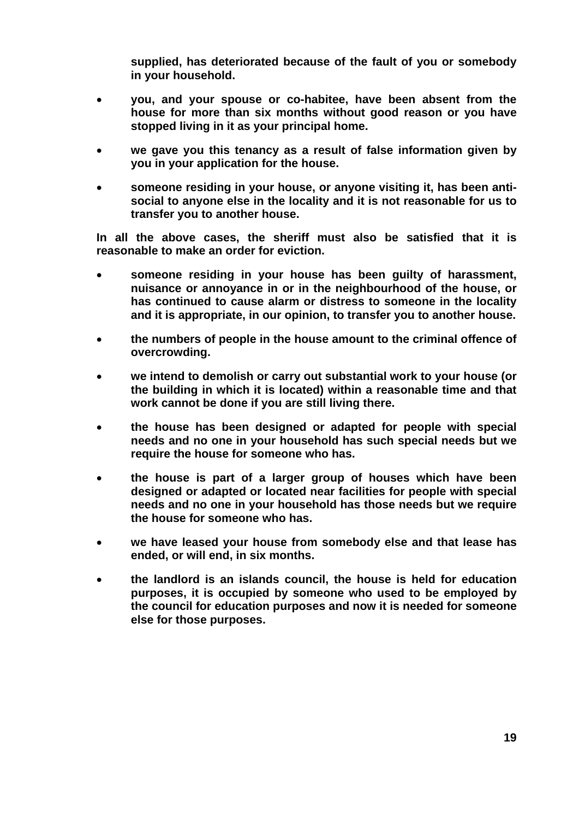**supplied, has deteriorated because of the fault of you or somebody in your household.**

- **you, and your spouse or co-habitee, have been absent from the house for more than six months without good reason or you have stopped living in it as your principal home.**
- **we gave you this tenancy as a result of false information given by you in your application for the house.**
- **someone residing in your house, or anyone visiting it, has been antisocial to anyone else in the locality and it is not reasonable for us to transfer you to another house.**

**In all the above cases, the sheriff must also be satisfied that it is reasonable to make an order for eviction.** 

- **someone residing in your house has been guilty of harassment, nuisance or annoyance in or in the neighbourhood of the house, or has continued to cause alarm or distress to someone in the locality and it is appropriate, in our opinion, to transfer you to another house.**
- **the numbers of people in the house amount to the criminal offence of overcrowding.**
- **we intend to demolish or carry out substantial work to your house (or the building in which it is located) within a reasonable time and that work cannot be done if you are still living there.**
- **the house has been designed or adapted for people with special needs and no one in your household has such special needs but we require the house for someone who has.**
- **the house is part of a larger group of houses which have been designed or adapted or located near facilities for people with special needs and no one in your household has those needs but we require the house for someone who has.**
- **we have leased your house from somebody else and that lease has ended, or will end, in six months.**
- **the landlord is an islands council, the house is held for education purposes, it is occupied by someone who used to be employed by the council for education purposes and now it is needed for someone else for those purposes.**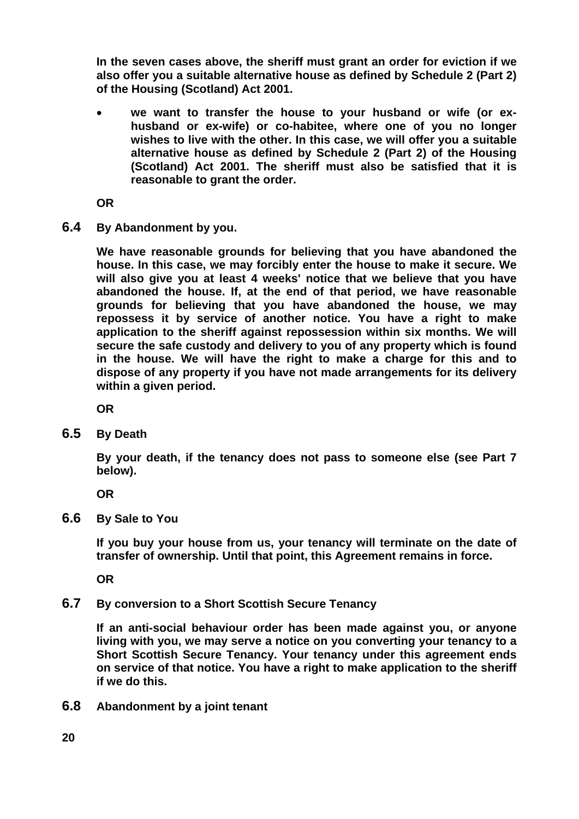**In the seven cases above, the sheriff must grant an order for eviction if we also offer you a suitable alternative house as defined by Schedule 2 (Part 2) of the Housing (Scotland) Act 2001.** 

we want to transfer the house to your husband or wife (or ex**husband or ex-wife) or co-habitee, where one of you no longer wishes to live with the other. In this case, we will offer you a suitable alternative house as defined by Schedule 2 (Part 2) of the Housing (Scotland) Act 2001. The sheriff must also be satisfied that it is reasonable to grant the order.**

 **OR** 

**6.4 By Abandonment by you.**

 **We have reasonable grounds for believing that you have abandoned the house. In this case, we may forcibly enter the house to make it secure. We will also give you at least 4 weeks' notice that we believe that you have abandoned the house. If, at the end of that period, we have reasonable grounds for believing that you have abandoned the house, we may repossess it by service of another notice. You have a right to make application to the sheriff against repossession within six months. We will secure the safe custody and delivery to you of any property which is found in the house. We will have the right to make a charge for this and to dispose of any property if you have not made arrangements for its delivery within a given period.** 

 **OR** 

**6.5 By Death**

 **By your death, if the tenancy does not pass to someone else (see Part 7 below).** 

 **OR** 

**6.6 By Sale to You**

 **If you buy your house from us, your tenancy will terminate on the date of transfer of ownership. Until that point, this Agreement remains in force.** 

 **OR** 

**6.7 By conversion to a Short Scottish Secure Tenancy**

 **If an anti-social behaviour order has been made against you, or anyone living with you, we may serve a notice on you converting your tenancy to a Short Scottish Secure Tenancy. Your tenancy under this agreement ends on service of that notice. You have a right to make application to the sheriff if we do this.** 

**6.8 Abandonment by a joint tenant**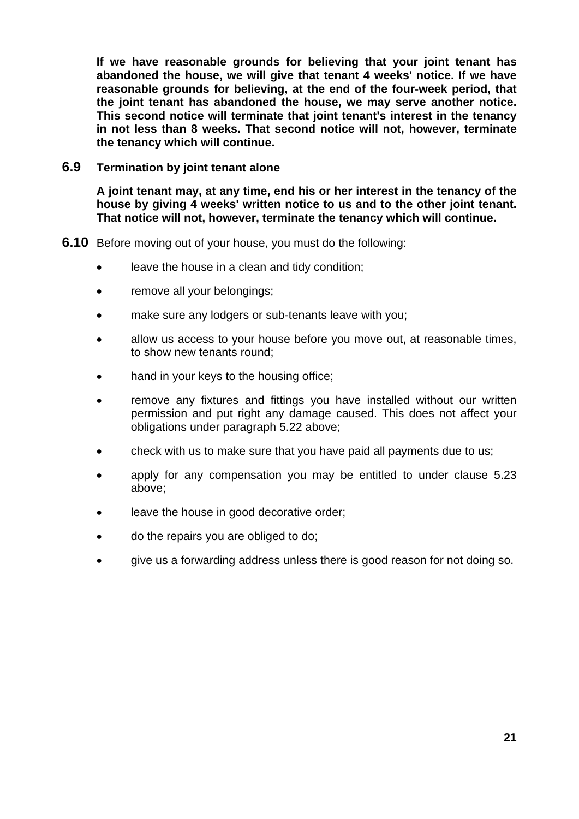**If we have reasonable grounds for believing that your joint tenant has abandoned the house, we will give that tenant 4 weeks' notice. If we have reasonable grounds for believing, at the end of the four-week period, that the joint tenant has abandoned the house, we may serve another notice. This second notice will terminate that joint tenant's interest in the tenancy in not less than 8 weeks. That second notice will not, however, terminate the tenancy which will continue.** 

### **6.9 Termination by joint tenant alone**

 **A joint tenant may, at any time, end his or her interest in the tenancy of the house by giving 4 weeks' written notice to us and to the other joint tenant. That notice will not, however, terminate the tenancy which will continue.** 

- **6.10** Before moving out of your house, you must do the following:
	- leave the house in a clean and tidy condition;
	- remove all your belongings;
	- make sure any lodgers or sub-tenants leave with you;
	- allow us access to your house before you move out, at reasonable times, to show new tenants round;
	- hand in your keys to the housing office;
	- remove any fixtures and fittings you have installed without our written permission and put right any damage caused. This does not affect your obligations under paragraph 5.22 above;
	- check with us to make sure that you have paid all payments due to us;
	- apply for any compensation you may be entitled to under clause 5.23 above;
	- leave the house in good decorative order;
	- do the repairs you are obliged to do;
	- give us a forwarding address unless there is good reason for not doing so.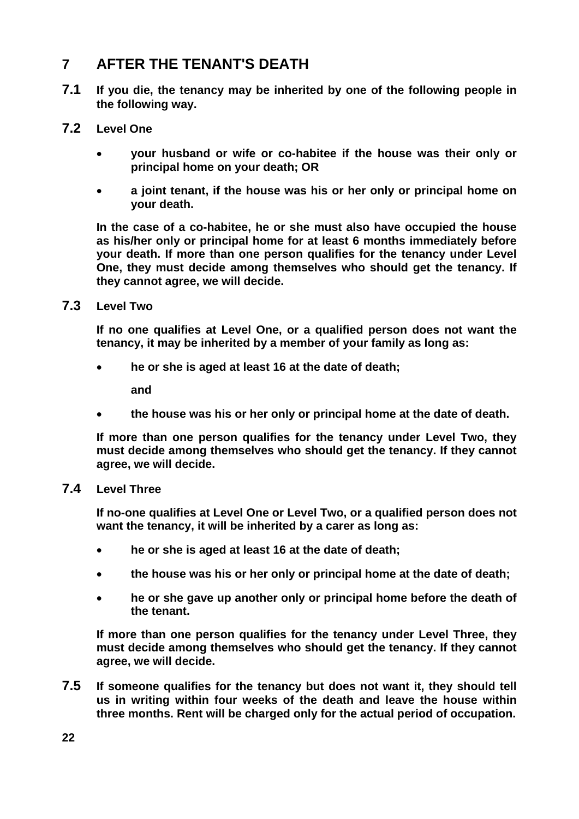# **7 AFTER THE TENANT'S DEATH**

- **7.1 If you die, the tenancy may be inherited by one of the following people in the following way.**
- **7.2 Level One**
	- **your husband or wife or co-habitee if the house was their only or principal home on your death; OR**
	- **a joint tenant, if the house was his or her only or principal home on your death.**

 **In the case of a co-habitee, he or she must also have occupied the house as his/her only or principal home for at least 6 months immediately before your death. If more than one person qualifies for the tenancy under Level One, they must decide among themselves who should get the tenancy. If they cannot agree, we will decide.** 

**7.3 Level Two**

 **If no one qualifies at Level One, or a qualified person does not want the tenancy, it may be inherited by a member of your family as long as:** 

• **he or she is aged at least 16 at the date of death;**

**and** 

• **the house was his or her only or principal home at the date of death.**

 **If more than one person qualifies for the tenancy under Level Two, they must decide among themselves who should get the tenancy. If they cannot agree, we will decide.** 

### **7.4 Level Three**

 **If no-one qualifies at Level One or Level Two, or a qualified person does not want the tenancy, it will be inherited by a carer as long as:** 

- **he or she is aged at least 16 at the date of death;**
- **the house was his or her only or principal home at the date of death;**
- **he or she gave up another only or principal home before the death of the tenant.**

 **If more than one person qualifies for the tenancy under Level Three, they must decide among themselves who should get the tenancy. If they cannot agree, we will decide.** 

**7.5 If someone qualifies for the tenancy but does not want it, they should tell us in writing within four weeks of the death and leave the house within three months. Rent will be charged only for the actual period of occupation.**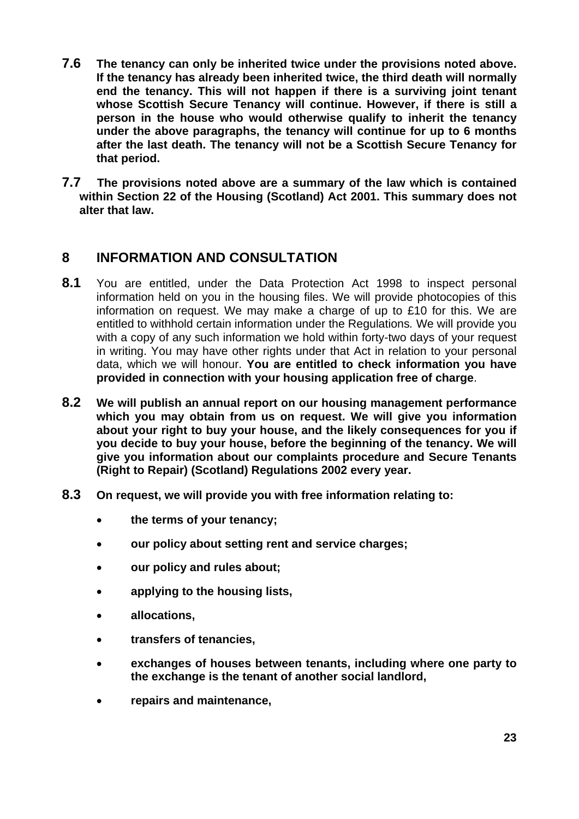- **7.6 The tenancy can only be inherited twice under the provisions noted above. If the tenancy has already been inherited twice, the third death will normally end the tenancy. This will not happen if there is a surviving joint tenant whose Scottish Secure Tenancy will continue. However, if there is still a person in the house who would otherwise qualify to inherit the tenancy under the above paragraphs, the tenancy will continue for up to 6 months after the last death. The tenancy will not be a Scottish Secure Tenancy for that period.**
- **7.7 The provisions noted above are a summary of the law which is contained within Section 22 of the Housing (Scotland) Act 2001. This summary does not alter that law.**

### **8 INFORMATION AND CONSULTATION**

- **8.1** You are entitled, under the Data Protection Act 1998 to inspect personal information held on you in the housing files. We will provide photocopies of this information on request. We may make a charge of up to £10 for this. We are entitled to withhold certain information under the Regulations*.* We will provide you with a copy of any such information we hold within forty-two days of your request in writing. You may have other rights under that Act in relation to your personal data, which we will honour. **You are entitled to check information you have provided in connection with your housing application free of charge**.
- **8.2 We will publish an annual report on our housing management performance which you may obtain from us on request. We will give you information about your right to buy your house, and the likely consequences for you if you decide to buy your house, before the beginning of the tenancy. We will give you information about our complaints procedure and Secure Tenants (Right to Repair) (Scotland) Regulations 2002 every year.**
- **8.3 On request, we will provide you with free information relating to:**
	- **the terms of your tenancy;**
	- **our policy about setting rent and service charges;**
	- **our policy and rules about;**
	- **applying to the housing lists,**
	- **allocations,**
	- **transfers of tenancies,**
	- **exchanges of houses between tenants, including where one party to the exchange is the tenant of another social landlord,**
	- **repairs and maintenance,**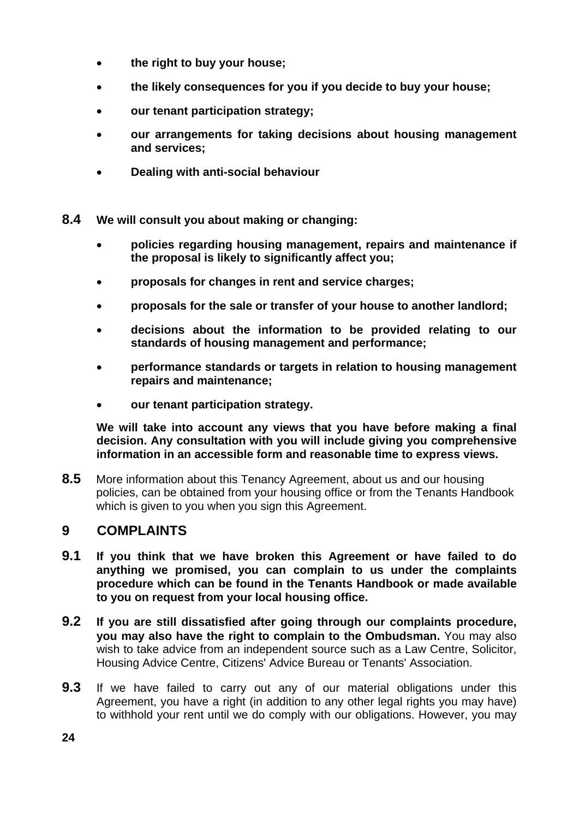- **the right to buy your house;**
- **the likely consequences for you if you decide to buy your house;**
- **our tenant participation strategy;**
- **our arrangements for taking decisions about housing management and services;**
- **Dealing with anti-social behaviour**
- **8.4 We will consult you about making or changing:**
	- **policies regarding housing management, repairs and maintenance if the proposal is likely to significantly affect you;**
	- **proposals for changes in rent and service charges;**
	- **proposals for the sale or transfer of your house to another landlord;**
	- **decisions about the information to be provided relating to our standards of housing management and performance;**
	- **performance standards or targets in relation to housing management repairs and maintenance;**
	- **our tenant participation strategy.**

**We will take into account any views that you have before making a final decision. Any consultation with you will include giving you comprehensive information in an accessible form and reasonable time to express views.** 

**8.5** More information about this Tenancy Agreement, about us and our housing policies, can be obtained from your housing office or from the Tenants Handbook which is given to you when you sign this Agreement.

### **9 COMPLAINTS**

- **9.1 If you think that we have broken this Agreement or have failed to do anything we promised, you can complain to us under the complaints procedure which can be found in the Tenants Handbook or made available to you on request from your local housing office.**
- **9.2 If you are still dissatisfied after going through our complaints procedure, you may also have the right to complain to the Ombudsman.** You may also wish to take advice from an independent source such as a Law Centre, Solicitor, Housing Advice Centre, Citizens' Advice Bureau or Tenants' Association.
- **9.3** If we have failed to carry out any of our material obligations under this Agreement, you have a right (in addition to any other legal rights you may have) to withhold your rent until we do comply with our obligations. However, you may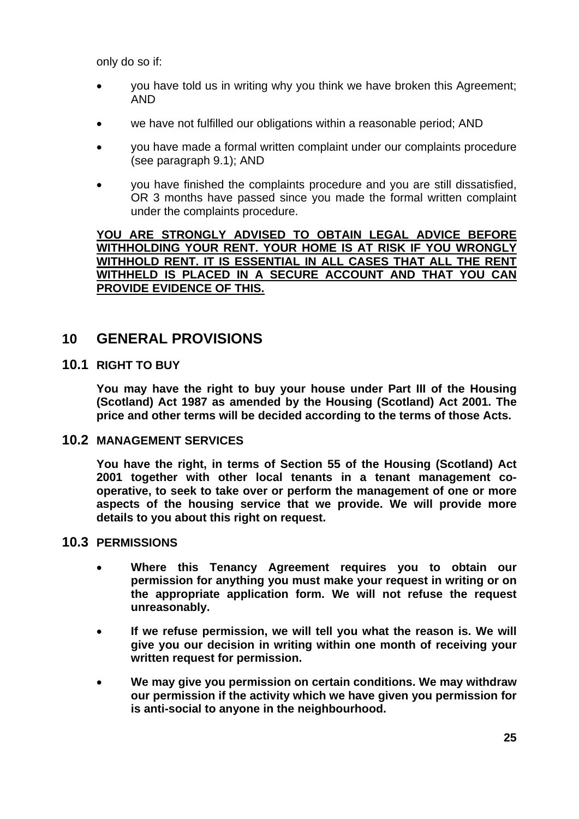only do so if:

- you have told us in writing why you think we have broken this Agreement; AND
- we have not fulfilled our obligations within a reasonable period; AND
- you have made a formal written complaint under our complaints procedure (see paragraph 9.1); AND
- you have finished the complaints procedure and you are still dissatisfied, OR 3 months have passed since you made the formal written complaint under the complaints procedure.

**YOU ARE STRONGLY ADVISED TO OBTAIN LEGAL ADVICE BEFORE WITHHOLDING YOUR RENT. YOUR HOME IS AT RISK IF YOU WRONGLY WITHHOLD RENT. IT IS ESSENTIAL IN ALL CASES THAT ALL THE RENT WITHHELD IS PLACED IN A SECURE ACCOUNT AND THAT YOU CAN PROVIDE EVIDENCE OF THIS.** 

### **10 GENERAL PROVISIONS**

### **10.1 RIGHT TO BUY**

 **You may have the right to buy your house under Part III of the Housing (Scotland) Act 1987 as amended by the Housing (Scotland) Act 2001. The price and other terms will be decided according to the terms of those Acts.** 

### **10.2 MANAGEMENT SERVICES**

 **You have the right, in terms of Section 55 of the Housing (Scotland) Act 2001 together with other local tenants in a tenant management cooperative, to seek to take over or perform the management of one or more aspects of the housing service that we provide. We will provide more details to you about this right on request.** 

### **10.3 PERMISSIONS**

- **Where this Tenancy Agreement requires you to obtain our permission for anything you must make your request in writing or on the appropriate application form. We will not refuse the request unreasonably.**
- **If we refuse permission, we will tell you what the reason is. We will give you our decision in writing within one month of receiving your written request for permission.**
- **We may give you permission on certain conditions. We may withdraw our permission if the activity which we have given you permission for is anti-social to anyone in the neighbourhood.**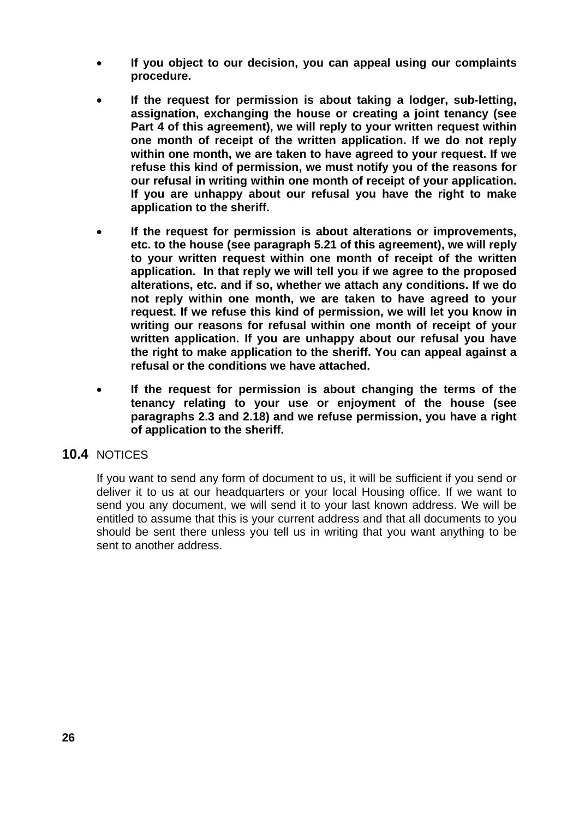- **If you object to our decision, you can appeal using our complaints procedure.**
- **If the request for permission is about taking a lodger, sub-letting, assignation, exchanging the house or creating a joint tenancy (see Part 4 of this agreement), we will reply to your written request within one month of receipt of the written application. If we do not reply within one month, we are taken to have agreed to your request. If we refuse this kind of permission, we must notify you of the reasons for our refusal in writing within one month of receipt of your application. If you are unhappy about our refusal you have the right to make application to the sheriff.**
- **If the request for permission is about alterations or improvements, etc. to the house (see paragraph 5.21 of this agreement), we will reply to your written request within one month of receipt of the written application. In that reply we will tell you if we agree to the proposed alterations, etc. and if so, whether we attach any conditions. If we do not reply within one month, we are taken to have agreed to your request. If we refuse this kind of permission, we will let you know in writing our reasons for refusal within one month of receipt of your written application. If you are unhappy about our refusal you have the right to make application to the sheriff. You can appeal against a refusal or the conditions we have attached.**
- **If the request for permission is about changing the terms of the tenancy relating to your use or enjoyment of the house (see paragraphs 2.3 and 2.18) and we refuse permission, you have a right of application to the sheriff.**

### **10.4** NOTICES

 If you want to send any form of document to us, it will be sufficient if you send or deliver it to us at our headquarters or your local Housing office. If we want to send you any document, we will send it to your last known address. We will be entitled to assume that this is your current address and that all documents to you should be sent there unless you tell us in writing that you want anything to be sent to another address.